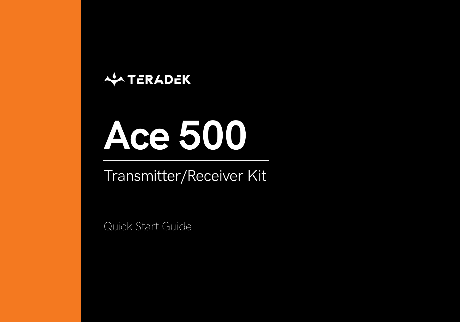

# **Ace 500**

Transmitter/Receiver Kit

Quick Start Guide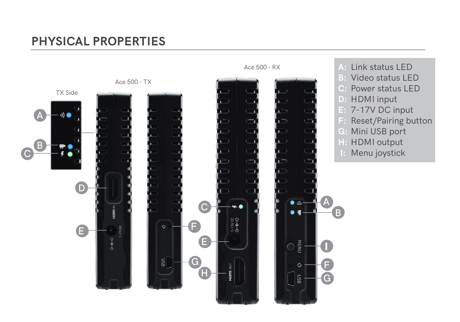#### **PHYSICAL PROPERTIES**

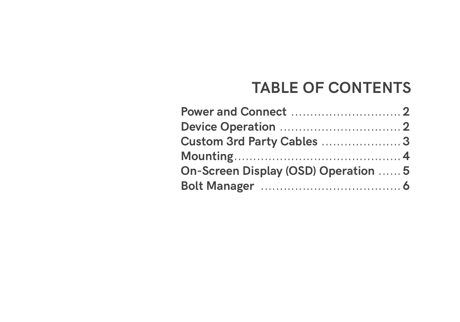### **TABLE OF CONTENTS**

| Custom 3rd Party Cables  3           |  |
|--------------------------------------|--|
|                                      |  |
| On-Screen Display (OSD) Operation  5 |  |
|                                      |  |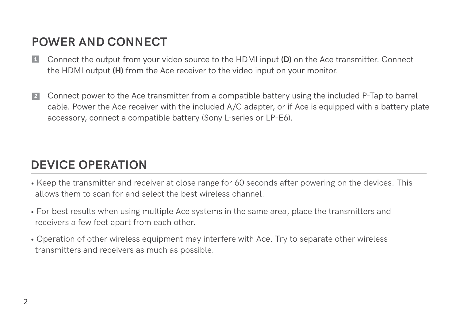#### **POWER AND CONNECT**

- **1** Connect the output from your video source to the HDMI input (D) on the Ace transmitter. Connect the HDMI output **(H)** from the Ace receiver to the video input on your monitor.
- 2 Connect power to the Ace transmitter from a compatible battery using the included P-Tap to barrel cable. Power the Ace receiver with the included A/C adapter, or if Ace is equipped with a battery plate accessory, connect a compatible battery (Sony L-series or LP-E6).

#### **DEVICE OPERATION**

- Keep the transmitter and receiver at close range for 60 seconds after powering on the devices. This allows them to scan for and select the best wireless channel.
- For best results when using multiple Ace systems in the same area, place the transmitters and receivers a few feet apart from each other.
- Operation of other wireless equipment may interfere with Ace. Try to separate other wireless transmitters and receivers as much as possible.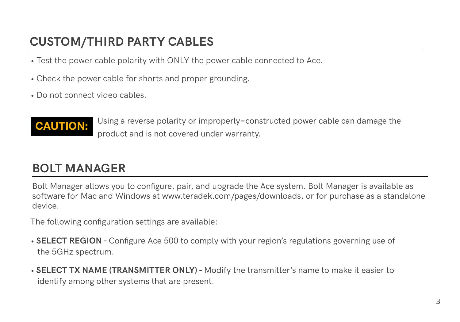#### **CUSTOM/THIRD PARTY CABLES**

- Test the power cable polarity with ONLY the power cable connected to Ace.
- Check the power cable for shorts and proper grounding.
- Do not connect video cables.



**CAUTION:** Using a reverse polarity or improperly**−**constructed power cable can damage the product and is not covered under warranty.

#### **BOLT MANAGER**

Bolt Manager allows you to configure, pair, and upgrade the Ace system. Bolt Manager is available as software for Mac and Windows at www.teradek.com/pages/downloads, or for purchase as a standalone device.

The following configuration settings are available:

- **SELECT REGION** Configure Ace 500 to comply with your region's regulations governing use of the 5GHz spectrum.
- **SELECT TX NAME (TRANSMITTER ONLY)** Modify the transmitter's name to make it easier to identify among other systems that are present.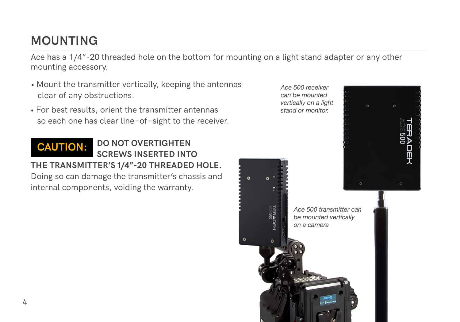## **MOUNTING**

Ace has a 1/4"-20 threaded hole on the bottom for mounting on a light stand adapter or any other mounting accessory.

- Mount the transmitter vertically, keeping the antennas clear of any obstructions.
- For best results, orient the transmitter antennas so each one has clear line−of−sight to the receiver.

#### **• DO NOT OVERTIGHTEN SCREWS INSERTED INTO THE TRANSMITTER'S 1/4"-20 THREADED HOLE. CAUTION:**

Doing so can damage the transmitter's chassis and internal components, voiding the warranty.



*Ace 500 receiver*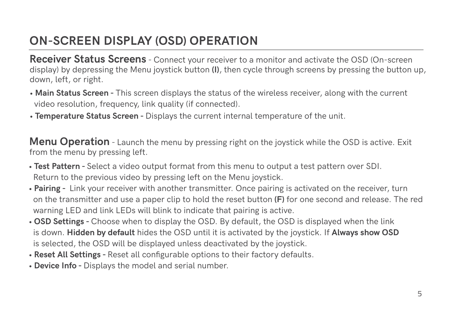#### **ON-SCREEN DISPLAY (OSD) OPERATION**

**Receiver Status Screens** - Connect your receiver to a monitor and activate the OSD (On-screen) display) by depressing the Menu joystick button **(I)**, then cycle through screens by pressing the button up, down, left, or right.

- **Main Status Screen** This screen displays the status of the wireless receiver, along with the current video resolution, frequency, link quality (if connected).
- **Temperature Status Screen** Displays the current internal temperature of the unit.

**Menu Operation** - Launch the menu by pressing right on the joystick while the OSD is active. Exit from the menu by pressing left.

- **Test Pattern** Select a video output format from this menu to output a test pattern over SDI. Return to the previous video by pressing left on the Menu joystick.
- **Pairing** Link your receiver with another transmitter. Once pairing is activated on the receiver, turn on the transmitter and use a paper clip to hold the reset button **(F)** for one second and release. The red warning LED and link LEDs will blink to indicate that pairing is active.
- **OSD Settings** Choose when to display the OSD. By default, the OSD is displayed when the link is down. **Hidden by default** hides the OSD until it is activated by the joystick. If **Always show OSD** is selected, the OSD will be displayed unless deactivated by the joystick.
- **Reset All Settings** Reset all configurable options to their factory defaults.
- **Device Info** Displays the model and serial number.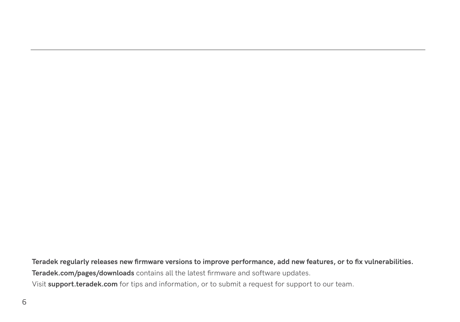**Teradek regularly releases new firmware versions to improve performance, add new features, or to fix vulnerabilities. Teradek.com/pages/downloads** contains all the latest firmware and software updates. Visit **support.teradek.com** for tips and information, or to submit a request for support to our team.